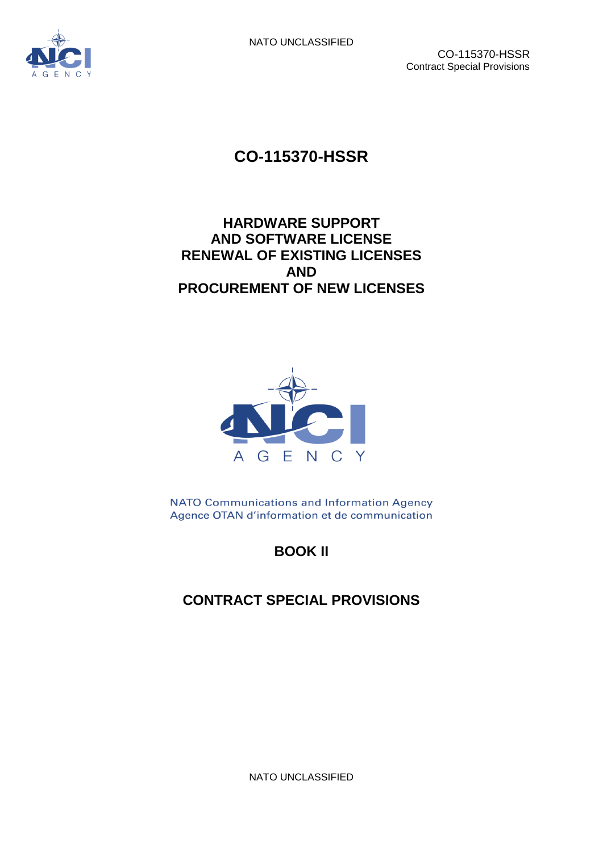



# **CO-115370-HSSR**

## **HARDWARE SUPPORT AND SOFTWARE LICENSE RENEWAL OF EXISTING LICENSES AND PROCUREMENT OF NEW LICENSES**



NATO Communications and Information Agency Agence OTAN d'information et de communication

# **BOOK II**

# **CONTRACT SPECIAL PROVISIONS**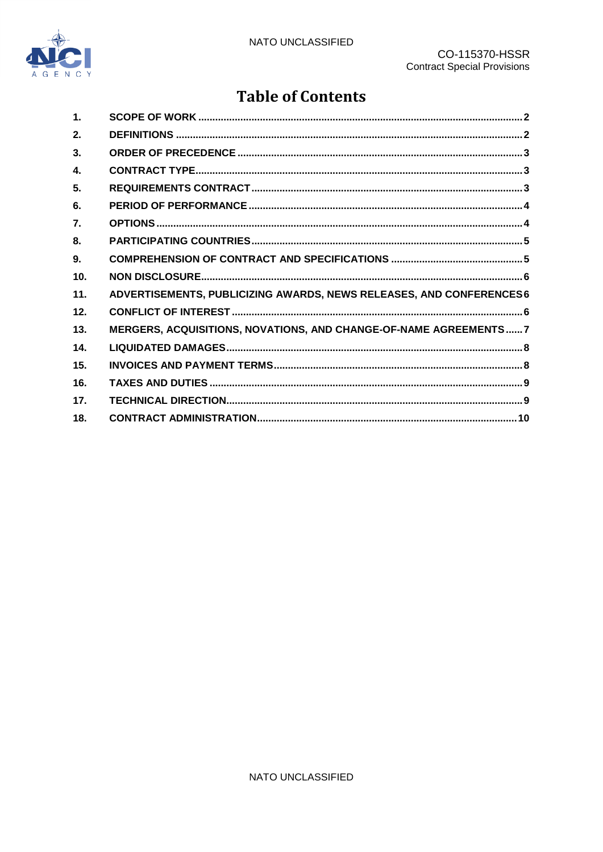

# **Table of Contents**

| 1.              |                                                                     |
|-----------------|---------------------------------------------------------------------|
| 2.              |                                                                     |
| 3 <sub>1</sub>  |                                                                     |
| $\mathbf{4}$    |                                                                     |
| 5.              |                                                                     |
| 6.              |                                                                     |
| 7.              |                                                                     |
| 8.              |                                                                     |
| 9.              |                                                                     |
| 10 <sub>1</sub> |                                                                     |
| 11.             | ADVERTISEMENTS, PUBLICIZING AWARDS, NEWS RELEASES, AND CONFERENCES6 |
| 12.             |                                                                     |
| 13.             | MERGERS, ACQUISITIONS, NOVATIONS, AND CHANGE-OF-NAME AGREEMENTS 7   |
| 14.             |                                                                     |
| 15.             |                                                                     |
| 16.             |                                                                     |
| 17.             |                                                                     |
| 18.             |                                                                     |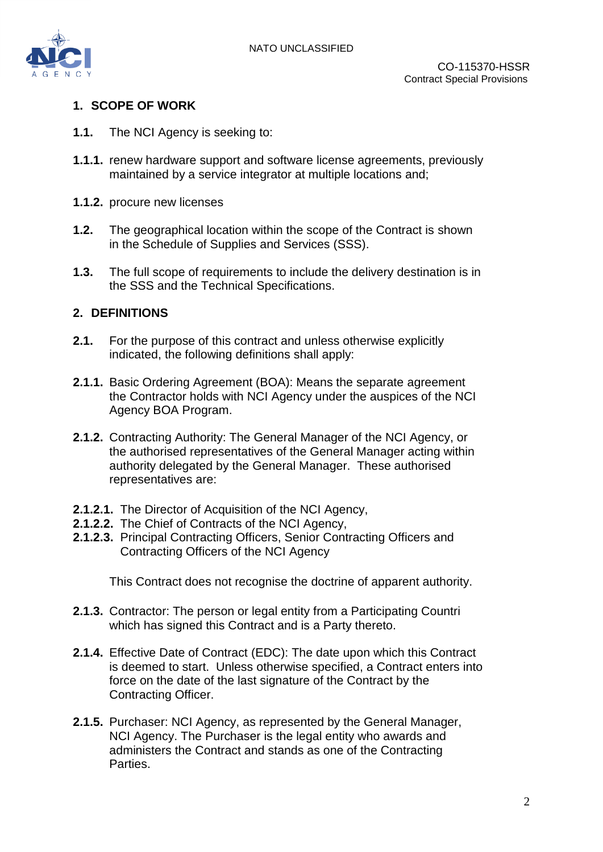

#### <span id="page-2-0"></span>**1. SCOPE OF WORK**

- **1.1.** The NCI Agency is seeking to:
- **1.1.1.** renew hardware support and software license agreements, previously maintained by a service integrator at multiple locations and;
- **1.1.2.** procure new licenses
- **1.2.** The geographical location within the scope of the Contract is shown in the Schedule of Supplies and Services (SSS).
- **1.3.** The full scope of requirements to include the delivery destination is in the SSS and the Technical Specifications.

#### <span id="page-2-1"></span>**2. DEFINITIONS**

- **2.1.** For the purpose of this contract and unless otherwise explicitly indicated, the following definitions shall apply:
- **2.1.1.** Basic Ordering Agreement (BOA): Means the separate agreement the Contractor holds with NCI Agency under the auspices of the NCI Agency BOA Program.
- **2.1.2.** Contracting Authority: The General Manager of the NCI Agency, or the authorised representatives of the General Manager acting within authority delegated by the General Manager. These authorised representatives are:
- **2.1.2.1.** The Director of Acquisition of the NCI Agency,
- **2.1.2.2.** The Chief of Contracts of the NCI Agency,
- **2.1.2.3.** Principal Contracting Officers, Senior Contracting Officers and Contracting Officers of the NCI Agency

This Contract does not recognise the doctrine of apparent authority.

- **2.1.3.** Contractor: The person or legal entity from a Participating Countri which has signed this Contract and is a Party thereto.
- **2.1.4.** Effective Date of Contract (EDC): The date upon which this Contract is deemed to start. Unless otherwise specified, a Contract enters into force on the date of the last signature of the Contract by the Contracting Officer.
- **2.1.5.** Purchaser: NCI Agency, as represented by the General Manager, NCI Agency. The Purchaser is the legal entity who awards and administers the Contract and stands as one of the Contracting Parties.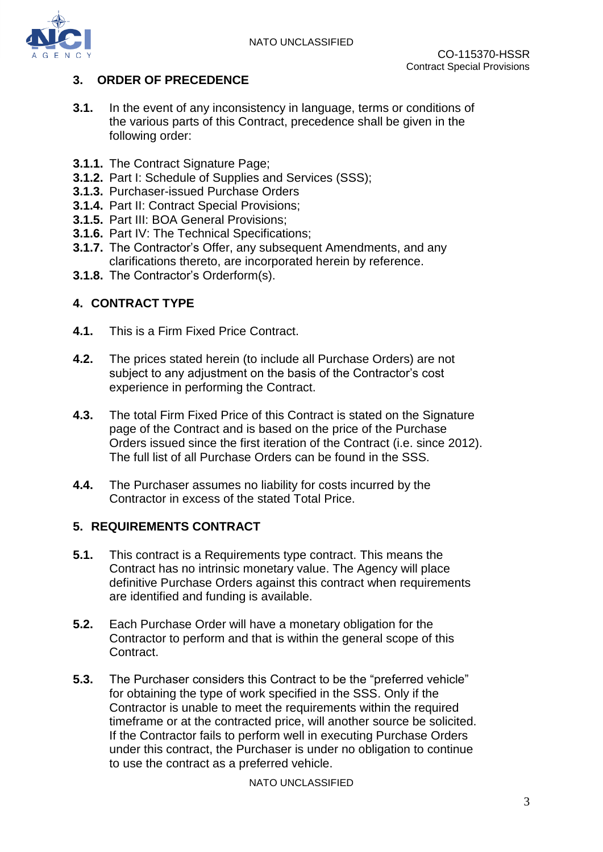

#### <span id="page-3-0"></span>**3. ORDER OF PRECEDENCE**

- **3.1.** In the event of any inconsistency in language, terms or conditions of the various parts of this Contract, precedence shall be given in the following order:
- **3.1.1.** The Contract Signature Page;
- **3.1.2.** Part I: Schedule of Supplies and Services (SSS);
- **3.1.3.** Purchaser-issued Purchase Orders
- **3.1.4.** Part II: Contract Special Provisions;
- **3.1.5.** Part III: BOA General Provisions;
- **3.1.6.** Part IV: The Technical Specifications;
- **3.1.7.** The Contractor's Offer, any subsequent Amendments, and any clarifications thereto, are incorporated herein by reference.
- **3.1.8.** The Contractor's Orderform(s).

#### <span id="page-3-1"></span>**4. CONTRACT TYPE**

- **4.1.** This is a Firm Fixed Price Contract.
- **4.2.** The prices stated herein (to include all Purchase Orders) are not subject to any adjustment on the basis of the Contractor's cost experience in performing the Contract.
- **4.3.** The total Firm Fixed Price of this Contract is stated on the Signature page of the Contract and is based on the price of the Purchase Orders issued since the first iteration of the Contract (i.e. since 2012). The full list of all Purchase Orders can be found in the SSS.
- **4.4.** The Purchaser assumes no liability for costs incurred by the Contractor in excess of the stated Total Price.

#### <span id="page-3-2"></span>**5. REQUIREMENTS CONTRACT**

- **5.1.** This contract is a Requirements type contract. This means the Contract has no intrinsic monetary value. The Agency will place definitive Purchase Orders against this contract when requirements are identified and funding is available.
- **5.2.** Each Purchase Order will have a monetary obligation for the Contractor to perform and that is within the general scope of this Contract.
- **5.3.** The Purchaser considers this Contract to be the "preferred vehicle" for obtaining the type of work specified in the SSS. Only if the Contractor is unable to meet the requirements within the required timeframe or at the contracted price, will another source be solicited. If the Contractor fails to perform well in executing Purchase Orders under this contract, the Purchaser is under no obligation to continue to use the contract as a preferred vehicle.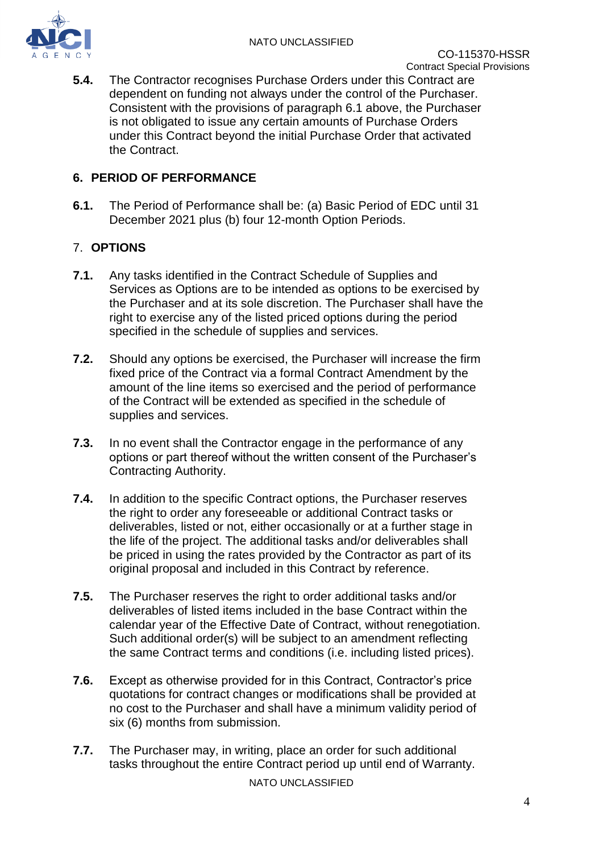

**5.4.** The Contractor recognises Purchase Orders under this Contract are dependent on funding not always under the control of the Purchaser. Consistent with the provisions of paragraph 6.1 above, the Purchaser is not obligated to issue any certain amounts of Purchase Orders under this Contract beyond the initial Purchase Order that activated the Contract.

#### <span id="page-4-0"></span>**6. PERIOD OF PERFORMANCE**

**6.1.** The Period of Performance shall be: (a) Basic Period of EDC until 31 December 2021 plus (b) four 12-month Option Periods.

### <span id="page-4-1"></span>7. **OPTIONS**

- **7.1.** Any tasks identified in the Contract Schedule of Supplies and Services as Options are to be intended as options to be exercised by the Purchaser and at its sole discretion. The Purchaser shall have the right to exercise any of the listed priced options during the period specified in the schedule of supplies and services.
- **7.2.** Should any options be exercised, the Purchaser will increase the firm fixed price of the Contract via a formal Contract Amendment by the amount of the line items so exercised and the period of performance of the Contract will be extended as specified in the schedule of supplies and services.
- **7.3.** In no event shall the Contractor engage in the performance of any options or part thereof without the written consent of the Purchaser's Contracting Authority.
- **7.4.** In addition to the specific Contract options, the Purchaser reserves the right to order any foreseeable or additional Contract tasks or deliverables, listed or not, either occasionally or at a further stage in the life of the project. The additional tasks and/or deliverables shall be priced in using the rates provided by the Contractor as part of its original proposal and included in this Contract by reference.
- **7.5.** The Purchaser reserves the right to order additional tasks and/or deliverables of listed items included in the base Contract within the calendar year of the Effective Date of Contract, without renegotiation. Such additional order(s) will be subject to an amendment reflecting the same Contract terms and conditions (i.e. including listed prices).
- **7.6.** Except as otherwise provided for in this Contract, Contractor's price quotations for contract changes or modifications shall be provided at no cost to the Purchaser and shall have a minimum validity period of six (6) months from submission.
- **7.7.** The Purchaser may, in writing, place an order for such additional tasks throughout the entire Contract period up until end of Warranty.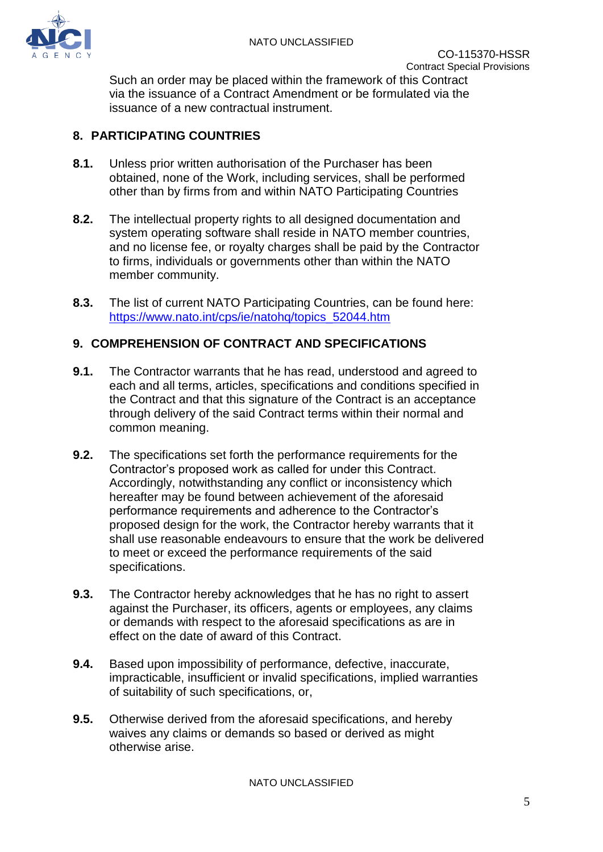

Such an order may be placed within the framework of this Contract via the issuance of a Contract Amendment or be formulated via the issuance of a new contractual instrument.

#### <span id="page-5-0"></span>**8. PARTICIPATING COUNTRIES**

- **8.1.** Unless prior written authorisation of the Purchaser has been obtained, none of the Work, including services, shall be performed other than by firms from and within NATO Participating Countries
- **8.2.** The intellectual property rights to all designed documentation and system operating software shall reside in NATO member countries, and no license fee, or royalty charges shall be paid by the Contractor to firms, individuals or governments other than within the NATO member community.
- **8.3.** The list of current NATO Participating Countries, can be found here: [https://www.nato.int/cps/ie/natohq/topics\\_52044.htm](https://www.nato.int/cps/ie/natohq/topics_52044.htm)

#### <span id="page-5-1"></span>**9. COMPREHENSION OF CONTRACT AND SPECIFICATIONS**

- **9.1.** The Contractor warrants that he has read, understood and agreed to each and all terms, articles, specifications and conditions specified in the Contract and that this signature of the Contract is an acceptance through delivery of the said Contract terms within their normal and common meaning.
- **9.2.** The specifications set forth the performance requirements for the Contractor's proposed work as called for under this Contract. Accordingly, notwithstanding any conflict or inconsistency which hereafter may be found between achievement of the aforesaid performance requirements and adherence to the Contractor's proposed design for the work, the Contractor hereby warrants that it shall use reasonable endeavours to ensure that the work be delivered to meet or exceed the performance requirements of the said specifications.
- **9.3.** The Contractor hereby acknowledges that he has no right to assert against the Purchaser, its officers, agents or employees, any claims or demands with respect to the aforesaid specifications as are in effect on the date of award of this Contract.
- **9.4.** Based upon impossibility of performance, defective, inaccurate, impracticable, insufficient or invalid specifications, implied warranties of suitability of such specifications, or,
- **9.5.** Otherwise derived from the aforesaid specifications, and hereby waives any claims or demands so based or derived as might otherwise arise.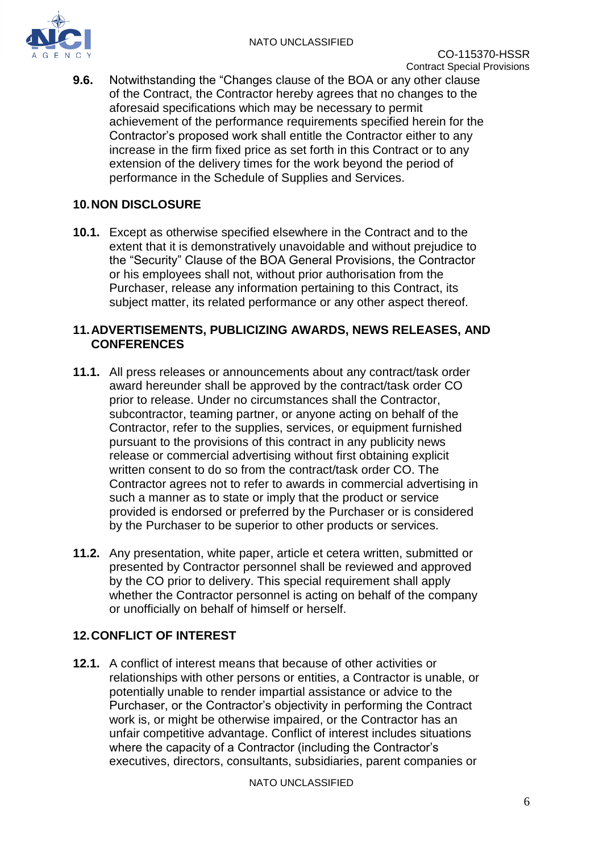

**9.6.** Notwithstanding the "Changes clause of the BOA or any other clause of the Contract, the Contractor hereby agrees that no changes to the aforesaid specifications which may be necessary to permit achievement of the performance requirements specified herein for the Contractor's proposed work shall entitle the Contractor either to any increase in the firm fixed price as set forth in this Contract or to any extension of the delivery times for the work beyond the period of performance in the Schedule of Supplies and Services.

#### <span id="page-6-0"></span>**10.NON DISCLOSURE**

**10.1.** Except as otherwise specified elsewhere in the Contract and to the extent that it is demonstratively unavoidable and without prejudice to the "Security" Clause of the BOA General Provisions, the Contractor or his employees shall not, without prior authorisation from the Purchaser, release any information pertaining to this Contract, its subject matter, its related performance or any other aspect thereof.

#### <span id="page-6-1"></span>**11.ADVERTISEMENTS, PUBLICIZING AWARDS, NEWS RELEASES, AND CONFERENCES**

- **11.1.** All press releases or announcements about any contract/task order award hereunder shall be approved by the contract/task order CO prior to release. Under no circumstances shall the Contractor, subcontractor, teaming partner, or anyone acting on behalf of the Contractor, refer to the supplies, services, or equipment furnished pursuant to the provisions of this contract in any publicity news release or commercial advertising without first obtaining explicit written consent to do so from the contract/task order CO. The Contractor agrees not to refer to awards in commercial advertising in such a manner as to state or imply that the product or service provided is endorsed or preferred by the Purchaser or is considered by the Purchaser to be superior to other products or services.
- **11.2.** Any presentation, white paper, article et cetera written, submitted or presented by Contractor personnel shall be reviewed and approved by the CO prior to delivery. This special requirement shall apply whether the Contractor personnel is acting on behalf of the company or unofficially on behalf of himself or herself.

#### <span id="page-6-2"></span>**12.CONFLICT OF INTEREST**

**12.1.** A conflict of interest means that because of other activities or relationships with other persons or entities, a Contractor is unable, or potentially unable to render impartial assistance or advice to the Purchaser, or the Contractor's objectivity in performing the Contract work is, or might be otherwise impaired, or the Contractor has an unfair competitive advantage. Conflict of interest includes situations where the capacity of a Contractor (including the Contractor's executives, directors, consultants, subsidiaries, parent companies or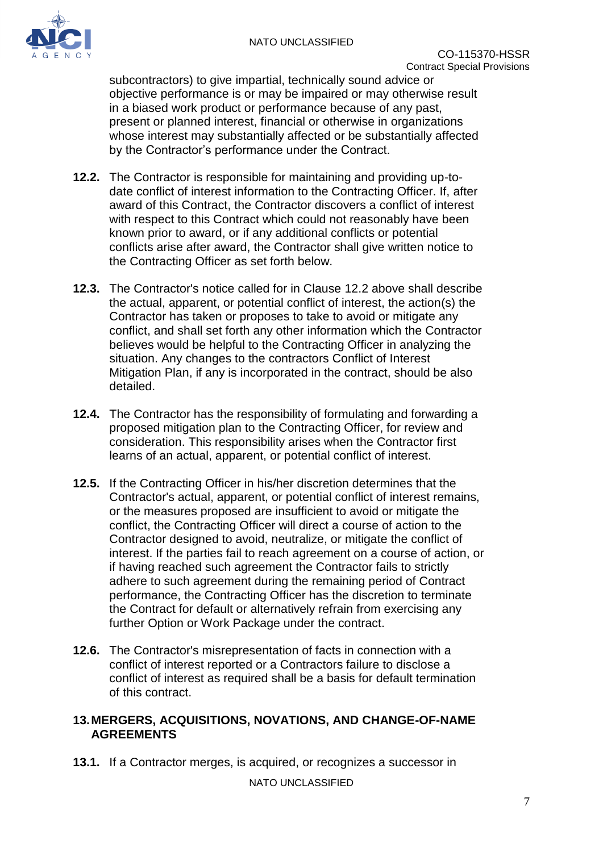

subcontractors) to give impartial, technically sound advice or objective performance is or may be impaired or may otherwise result in a biased work product or performance because of any past, present or planned interest, financial or otherwise in organizations whose interest may substantially affected or be substantially affected by the Contractor's performance under the Contract.

- **12.2.** The Contractor is responsible for maintaining and providing up-todate conflict of interest information to the Contracting Officer. If, after award of this Contract, the Contractor discovers a conflict of interest with respect to this Contract which could not reasonably have been known prior to award, or if any additional conflicts or potential conflicts arise after award, the Contractor shall give written notice to the Contracting Officer as set forth below.
- **12.3.** The Contractor's notice called for in Clause 12.2 above shall describe the actual, apparent, or potential conflict of interest, the action(s) the Contractor has taken or proposes to take to avoid or mitigate any conflict, and shall set forth any other information which the Contractor believes would be helpful to the Contracting Officer in analyzing the situation. Any changes to the contractors Conflict of Interest Mitigation Plan, if any is incorporated in the contract, should be also detailed.
- **12.4.** The Contractor has the responsibility of formulating and forwarding a proposed mitigation plan to the Contracting Officer, for review and consideration. This responsibility arises when the Contractor first learns of an actual, apparent, or potential conflict of interest.
- **12.5.** If the Contracting Officer in his/her discretion determines that the Contractor's actual, apparent, or potential conflict of interest remains, or the measures proposed are insufficient to avoid or mitigate the conflict, the Contracting Officer will direct a course of action to the Contractor designed to avoid, neutralize, or mitigate the conflict of interest. If the parties fail to reach agreement on a course of action, or if having reached such agreement the Contractor fails to strictly adhere to such agreement during the remaining period of Contract performance, the Contracting Officer has the discretion to terminate the Contract for default or alternatively refrain from exercising any further Option or Work Package under the contract.
- **12.6.** The Contractor's misrepresentation of facts in connection with a conflict of interest reported or a Contractors failure to disclose a conflict of interest as required shall be a basis for default termination of this contract.

#### <span id="page-7-0"></span>**13.MERGERS, ACQUISITIONS, NOVATIONS, AND CHANGE-OF-NAME AGREEMENTS**

**13.1.** If a Contractor merges, is acquired, or recognizes a successor in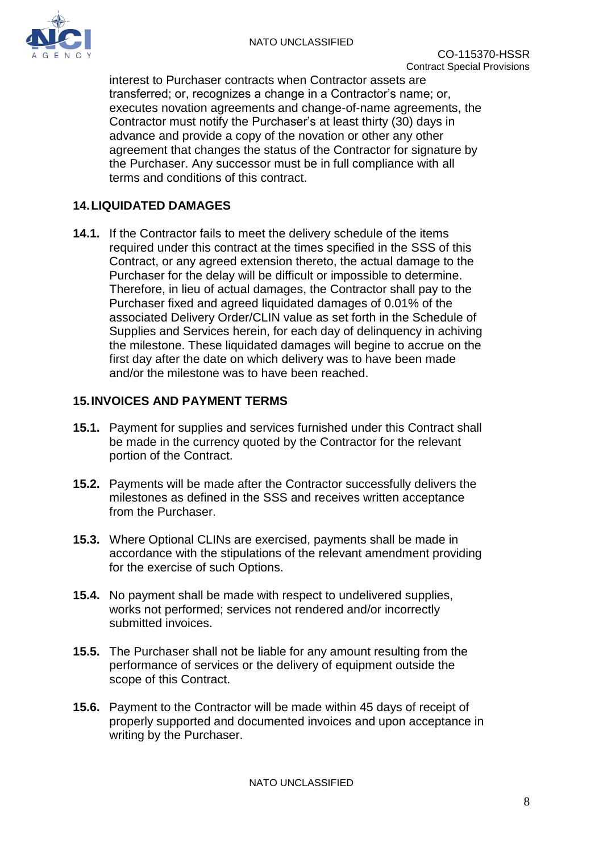

interest to Purchaser contracts when Contractor assets are transferred; or, recognizes a change in a Contractor's name; or, executes novation agreements and change-of-name agreements, the Contractor must notify the Purchaser's at least thirty (30) days in advance and provide a copy of the novation or other any other agreement that changes the status of the Contractor for signature by the Purchaser. Any successor must be in full compliance with all terms and conditions of this contract.

### <span id="page-8-0"></span>**14.LIQUIDATED DAMAGES**

**14.1.** If the Contractor fails to meet the delivery schedule of the items required under this contract at the times specified in the SSS of this Contract, or any agreed extension thereto, the actual damage to the Purchaser for the delay will be difficult or impossible to determine. Therefore, in lieu of actual damages, the Contractor shall pay to the Purchaser fixed and agreed liquidated damages of 0.01% of the associated Delivery Order/CLIN value as set forth in the Schedule of Supplies and Services herein, for each day of delinquency in achiving the milestone. These liquidated damages will begine to accrue on the first day after the date on which delivery was to have been made and/or the milestone was to have been reached.

#### <span id="page-8-1"></span>**15.INVOICES AND PAYMENT TERMS**

- **15.1.** Payment for supplies and services furnished under this Contract shall be made in the currency quoted by the Contractor for the relevant portion of the Contract.
- **15.2.** Payments will be made after the Contractor successfully delivers the milestones as defined in the SSS and receives written acceptance from the Purchaser.
- **15.3.** Where Optional CLINs are exercised, payments shall be made in accordance with the stipulations of the relevant amendment providing for the exercise of such Options.
- **15.4.** No payment shall be made with respect to undelivered supplies, works not performed; services not rendered and/or incorrectly submitted invoices.
- **15.5.** The Purchaser shall not be liable for any amount resulting from the performance of services or the delivery of equipment outside the scope of this Contract.
- **15.6.** Payment to the Contractor will be made within 45 days of receipt of properly supported and documented invoices and upon acceptance in writing by the Purchaser.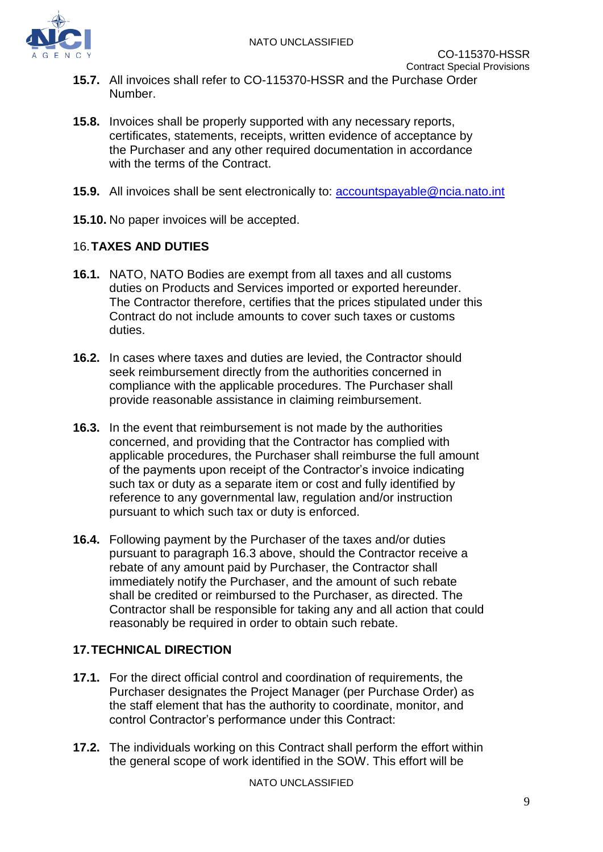

- **15.7.** All invoices shall refer to CO-115370-HSSR and the Purchase Order Number.
- **15.8.** Invoices shall be properly supported with any necessary reports, certificates, statements, receipts, written evidence of acceptance by the Purchaser and any other required documentation in accordance with the terms of the Contract.
- **15.9.** All invoices shall be sent electronically to: **accountspayable@ncia.nato.int**
- **15.10.** No paper invoices will be accepted.

#### <span id="page-9-0"></span>16.**TAXES AND DUTIES**

- **16.1.** NATO, NATO Bodies are exempt from all taxes and all customs duties on Products and Services imported or exported hereunder. The Contractor therefore, certifies that the prices stipulated under this Contract do not include amounts to cover such taxes or customs duties.
- **16.2.** In cases where taxes and duties are levied, the Contractor should seek reimbursement directly from the authorities concerned in compliance with the applicable procedures. The Purchaser shall provide reasonable assistance in claiming reimbursement.
- <span id="page-9-2"></span>**16.3.** In the event that reimbursement is not made by the authorities concerned, and providing that the Contractor has complied with applicable procedures, the Purchaser shall reimburse the full amount of the payments upon receipt of the Contractor's invoice indicating such tax or duty as a separate item or cost and fully identified by reference to any governmental law, regulation and/or instruction pursuant to which such tax or duty is enforced.
- **16.4.** Following payment by the Purchaser of the taxes and/or duties pursuant to paragraph [16.3](#page-9-2) above, should the Contractor receive a rebate of any amount paid by Purchaser, the Contractor shall immediately notify the Purchaser, and the amount of such rebate shall be credited or reimbursed to the Purchaser, as directed. The Contractor shall be responsible for taking any and all action that could reasonably be required in order to obtain such rebate.

#### <span id="page-9-1"></span>**17.TECHNICAL DIRECTION**

- **17.1.** For the direct official control and coordination of requirements, the Purchaser designates the Project Manager (per Purchase Order) as the staff element that has the authority to coordinate, monitor, and control Contractor's performance under this Contract:
- **17.2.** The individuals working on this Contract shall perform the effort within the general scope of work identified in the SOW. This effort will be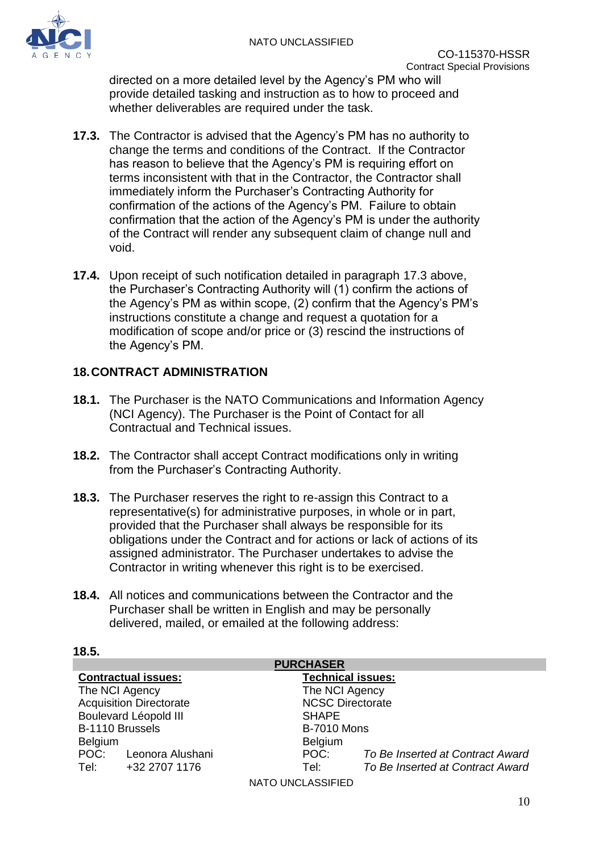

directed on a more detailed level by the Agency's PM who will provide detailed tasking and instruction as to how to proceed and whether deliverables are required under the task.

- <span id="page-10-1"></span>**17.3.** The Contractor is advised that the Agency's PM has no authority to change the terms and conditions of the Contract. If the Contractor has reason to believe that the Agency's PM is requiring effort on terms inconsistent with that in the Contractor, the Contractor shall immediately inform the Purchaser's Contracting Authority for confirmation of the actions of the Agency's PM. Failure to obtain confirmation that the action of the Agency's PM is under the authority of the Contract will render any subsequent claim of change null and void.
- **17.4.** Upon receipt of such notification detailed in paragraph [17.3](#page-10-1) above, the Purchaser's Contracting Authority will (1) confirm the actions of the Agency's PM as within scope, (2) confirm that the Agency's PM's instructions constitute a change and request a quotation for a modification of scope and/or price or (3) rescind the instructions of the Agency's PM.

#### <span id="page-10-0"></span>**18.CONTRACT ADMINISTRATION**

- **18.1.** The Purchaser is the NATO Communications and Information Agency (NCI Agency). The Purchaser is the Point of Contact for all Contractual and Technical issues.
- **18.2.** The Contractor shall accept Contract modifications only in writing from the Purchaser's Contracting Authority.
- **18.3.** The Purchaser reserves the right to re-assign this Contract to a representative(s) for administrative purposes, in whole or in part, provided that the Purchaser shall always be responsible for its obligations under the Contract and for actions or lack of actions of its assigned administrator. The Purchaser undertakes to advise the Contractor in writing whenever this right is to be exercised.
- **18.4.** All notices and communications between the Contractor and the Purchaser shall be written in English and may be personally delivered, mailed, or emailed at the following address:

#### **18.5.**

| <b>PURCHASER</b>               |                       |                          |                                  |  |  |
|--------------------------------|-----------------------|--------------------------|----------------------------------|--|--|
| <b>Contractual issues:</b>     |                       | <b>Technical issues:</b> |                                  |  |  |
| The NCI Agency                 |                       | The NCI Agency           |                                  |  |  |
| <b>Acquisition Directorate</b> |                       | <b>NCSC Directorate</b>  |                                  |  |  |
| Boulevard Léopold III          |                       | <b>SHAPE</b>             |                                  |  |  |
| B-1110 Brussels                |                       | <b>B-7010 Mons</b>       |                                  |  |  |
| <b>Belgium</b>                 |                       | <b>Belgium</b>           |                                  |  |  |
|                                | POC: Leonora Alushani | POC:                     | To Be Inserted at Contract Award |  |  |
| Tel:                           | +32 2707 1176         | Tel:                     | To Be Inserted at Contract Award |  |  |
|                                |                       | <b>NATO UNCLASSIFIED</b> |                                  |  |  |

10